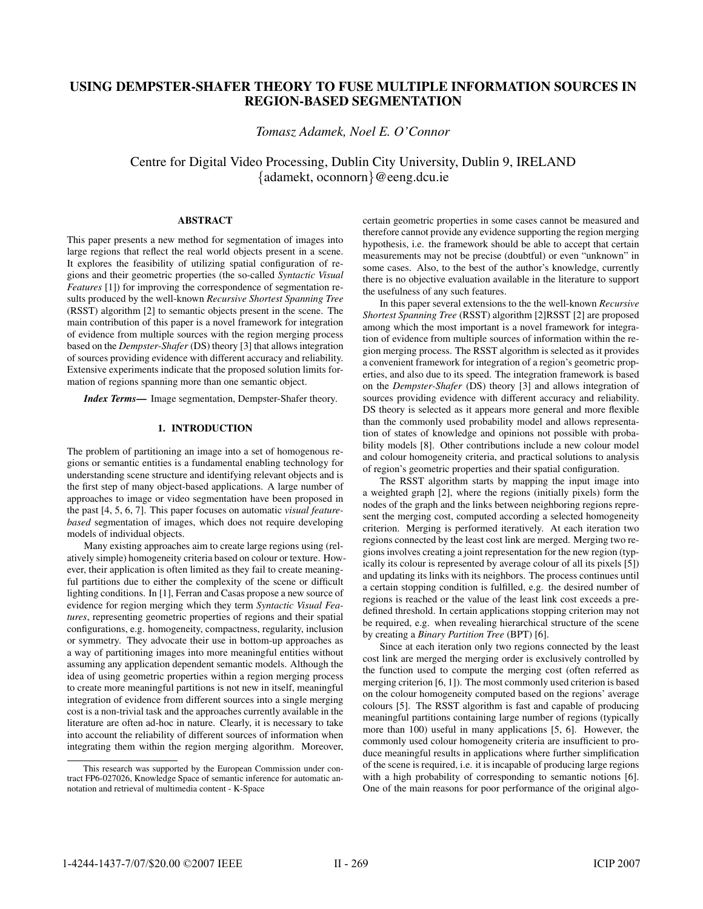# USING DEMPSTER-SHAFER THEORY TO FUSE MULTIPLE INFORMATION SOURCES IN REGION-BASED SEGMENTATION

*Tomasz Adamek, Noel E. O'Connor*

Centre for Digital Video Processing, Dublin City University, Dublin 9, IRELAND {adamekt, oconnorn}@eeng.dcu.ie

# ABSTRACT

This paper presents a new method for segmentation of images into large regions that reflect the real world objects present in a scene. It explores the feasibility of utilizing spatial configuration of regions and their geometric properties (the so-called *Syntactic Visual Features* [1]) for improving the correspondence of segmentation results produced by the well-known *Recursive Shortest Spanning Tree* (RSST) algorithm [2] to semantic objects present in the scene. The main contribution of this paper is a novel framework for integration of evidence from multiple sources with the region merging process based on the *Dempster-Shafer* (DS) theory [3] that allows integration of sources providing evidence with different accuracy and reliability. Extensive experiments indicate that the proposed solution limits formation of regions spanning more than one semantic object.

*Index Terms*— Image segmentation, Dempster-Shafer theory.

# 1. INTRODUCTION

The problem of partitioning an image into a set of homogenous regions or semantic entities is a fundamental enabling technology for understanding scene structure and identifying relevant objects and is the first step of many object-based applications. A large number of approaches to image or video segmentation have been proposed in the past [4, 5, 6, 7]. This paper focuses on automatic *visual featurebased* segmentation of images, which does not require developing models of individual objects.

Many existing approaches aim to create large regions using (relatively simple) homogeneity criteria based on colour or texture. However, their application is often limited as they fail to create meaningful partitions due to either the complexity of the scene or difficult lighting conditions. In [1], Ferran and Casas propose a new source of evidence for region merging which they term *Syntactic Visual Features*, representing geometric properties of regions and their spatial configurations, e.g. homogeneity, compactness, regularity, inclusion or symmetry. They advocate their use in bottom-up approaches as a way of partitioning images into more meaningful entities without assuming any application dependent semantic models. Although the idea of using geometric properties within a region merging process to create more meaningful partitions is not new in itself, meaningful integration of evidence from different sources into a single merging cost is a non-trivial task and the approaches currently available in the literature are often ad-hoc in nature. Clearly, it is necessary to take into account the reliability of different sources of information when integrating them within the region merging algorithm. Moreover,

certain geometric properties in some cases cannot be measured and therefore cannot provide any evidence supporting the region merging hypothesis, i.e. the framework should be able to accept that certain measurements may not be precise (doubtful) or even "unknown" in some cases. Also, to the best of the author's knowledge, currently there is no objective evaluation available in the literature to support the usefulness of any such features.

In this paper several extensions to the the well-known *Recursive Shortest Spanning Tree* (RSST) algorithm [2]RSST [2] are proposed among which the most important is a novel framework for integration of evidence from multiple sources of information within the region merging process. The RSST algorithm is selected as it provides a convenient framework for integration of a region's geometric properties, and also due to its speed. The integration framework is based on the *Dempster-Shafer* (DS) theory [3] and allows integration of sources providing evidence with different accuracy and reliability. DS theory is selected as it appears more general and more flexible than the commonly used probability model and allows representation of states of knowledge and opinions not possible with probability models [8]. Other contributions include a new colour model and colour homogeneity criteria, and practical solutions to analysis of region's geometric properties and their spatial configuration.

The RSST algorithm starts by mapping the input image into a weighted graph [2], where the regions (initially pixels) form the nodes of the graph and the links between neighboring regions represent the merging cost, computed according a selected homogeneity criterion. Merging is performed iteratively. At each iteration two regions connected by the least cost link are merged. Merging two regions involves creating a joint representation for the new region (typically its colour is represented by average colour of all its pixels [5]) and updating its links with its neighbors. The process continues until a certain stopping condition is fulfilled, e.g. the desired number of regions is reached or the value of the least link cost exceeds a predefined threshold. In certain applications stopping criterion may not be required, e.g. when revealing hierarchical structure of the scene by creating a *Binary Partition Tree* (BPT) [6].

Since at each iteration only two regions connected by the least cost link are merged the merging order is exclusively controlled by the function used to compute the merging cost (often referred as merging criterion [6, 1]). The most commonly used criterion is based on the colour homogeneity computed based on the regions' average colours [5]. The RSST algorithm is fast and capable of producing meaningful partitions containing large number of regions (typically more than 100) useful in many applications [5, 6]. However, the commonly used colour homogeneity criteria are insufficient to produce meaningful results in applications where further simplification of the scene is required, i.e. it is incapable of producing large regions with a high probability of corresponding to semantic notions [6]. One of the main reasons for poor performance of the original algo-

This research was supported by the European Commission under contract FP6-027026, Knowledge Space of semantic inference for automatic annotation and retrieval of multimedia content - K-Space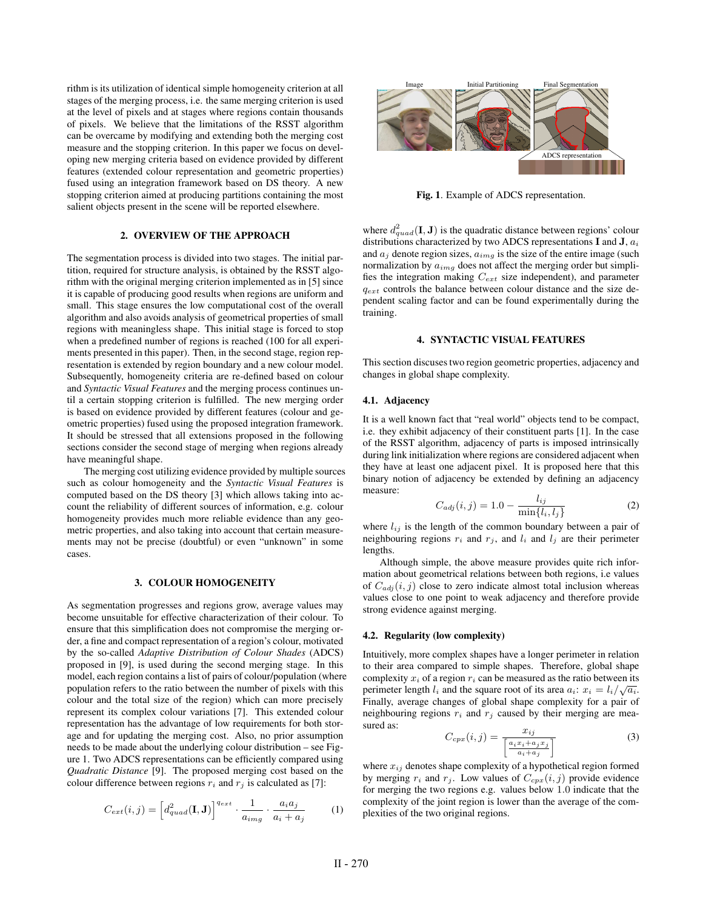rithm is its utilization of identical simple homogeneity criterion at all stages of the merging process, i.e. the same merging criterion is used at the level of pixels and at stages where regions contain thousands of pixels. We believe that the limitations of the RSST algorithm can be overcame by modifying and extending both the merging cost measure and the stopping criterion. In this paper we focus on developing new merging criteria based on evidence provided by different features (extended colour representation and geometric properties) fused using an integration framework based on DS theory. A new stopping criterion aimed at producing partitions containing the most salient objects present in the scene will be reported elsewhere.

#### 2. OVERVIEW OF THE APPROACH

The segmentation process is divided into two stages. The initial partition, required for structure analysis, is obtained by the RSST algorithm with the original merging criterion implemented as in [5] since it is capable of producing good results when regions are uniform and small. This stage ensures the low computational cost of the overall algorithm and also avoids analysis of geometrical properties of small regions with meaningless shape. This initial stage is forced to stop when a predefined number of regions is reached (100 for all experiments presented in this paper). Then, in the second stage, region representation is extended by region boundary and a new colour model. Subsequently, homogeneity criteria are re-defined based on colour and *Syntactic Visual Features* and the merging process continues until a certain stopping criterion is fulfilled. The new merging order is based on evidence provided by different features (colour and geometric properties) fused using the proposed integration framework. It should be stressed that all extensions proposed in the following sections consider the second stage of merging when regions already have meaningful shape.

The merging cost utilizing evidence provided by multiple sources such as colour homogeneity and the *Syntactic Visual Features* is computed based on the DS theory [3] which allows taking into account the reliability of different sources of information, e.g. colour homogeneity provides much more reliable evidence than any geometric properties, and also taking into account that certain measurements may not be precise (doubtful) or even "unknown" in some cases.

#### 3. COLOUR HOMOGENEITY

As segmentation progresses and regions grow, average values may become unsuitable for effective characterization of their colour. To ensure that this simplification does not compromise the merging order, a fine and compact representation of a region's colour, motivated by the so-called *Adaptive Distribution of Colour Shades* (ADCS) proposed in [9], is used during the second merging stage. In this model, each region contains a list of pairs of colour/population (where population refers to the ratio between the number of pixels with this colour and the total size of the region) which can more precisely represent its complex colour variations [7]. This extended colour representation has the advantage of low requirements for both storage and for updating the merging cost. Also, no prior assumption needs to be made about the underlying colour distribution – see Figure 1. Two ADCS representations can be efficiently compared using *Quadratic Distance* [9]. The proposed merging cost based on the colour difference between regions  $r_i$  and  $r_j$  is calculated as [7]:

$$
C_{ext}(i,j) = \left[d_{quad}^2(\mathbf{I}, \mathbf{J})\right]^{q_{ext}} \cdot \frac{1}{a_{img}} \cdot \frac{a_i a_j}{a_i + a_j} \tag{1}
$$



Fig. 1. Example of ADCS representation.

where  $d_{quad}^2(\mathbf{I}, \mathbf{J})$  is the quadratic distance between regions' colour distributions characterized by two ADCS representations **I** and **J**,  $a_i$ and  $a_i$  denote region sizes,  $a_{img}$  is the size of the entire image (such normalization by  $a_{img}$  does not affect the merging order but simplifies the integration making  $C_{ext}$  size independent), and parameter  $q_{ext}$  controls the balance between colour distance and the size dependent scaling factor and can be found experimentally during the training.

# 4. SYNTACTIC VISUAL FEATURES

This section discuses two region geometric properties, adjacency and changes in global shape complexity.

# 4.1. Adjacency

It is a well known fact that "real world" objects tend to be compact, i.e. they exhibit adjacency of their constituent parts [1]. In the case of the RSST algorithm, adjacency of parts is imposed intrinsically during link initialization where regions are considered adjacent when they have at least one adjacent pixel. It is proposed here that this binary notion of adjacency be extended by defining an adjacency measure:

$$
C_{adj}(i,j) = 1.0 - \frac{l_{ij}}{\min\{l_i, l_j\}}\tag{2}
$$

where  $l_{ij}$  is the length of the common boundary between a pair of neighbouring regions  $r_i$  and  $r_j$ , and  $l_i$  and  $l_j$  are their perimeter lengths.

Although simple, the above measure provides quite rich information about geometrical relations between both regions, i.e values of  $C_{adj}(i, j)$  close to zero indicate almost total inclusion whereas values close to one point to weak adjacency and therefore provide strong evidence against merging.

### 4.2. Regularity (low complexity)

Intuitively, more complex shapes have a longer perimeter in relation to their area compared to simple shapes. Therefore, global shape complexity  $x_i$  of a region  $r_i$  can be measured as the ratio between its being the square root of its area  $a_i$ :  $x_i = l_i / \sqrt{a_i}$ . Finally, average changes of global shape complexity for a pair of neighbouring regions  $r_i$  and  $r_j$  caused by their merging are measured as:

$$
C_{cpx}(i,j) = \frac{x_{ij}}{\left\lceil \frac{a_i x_i + a_j x_j}{a_i + a_j} \right\rceil} \tag{3}
$$

where  $x_{ij}$  denotes shape complexity of a hypothetical region formed by merging  $r_i$  and  $r_j$ . Low values of  $C_{cpx}(i, j)$  provide evidence for merging the two regions e.g. values below 1.0 indicate that the complexity of the joint region is lower than the average of the complexities of the two original regions.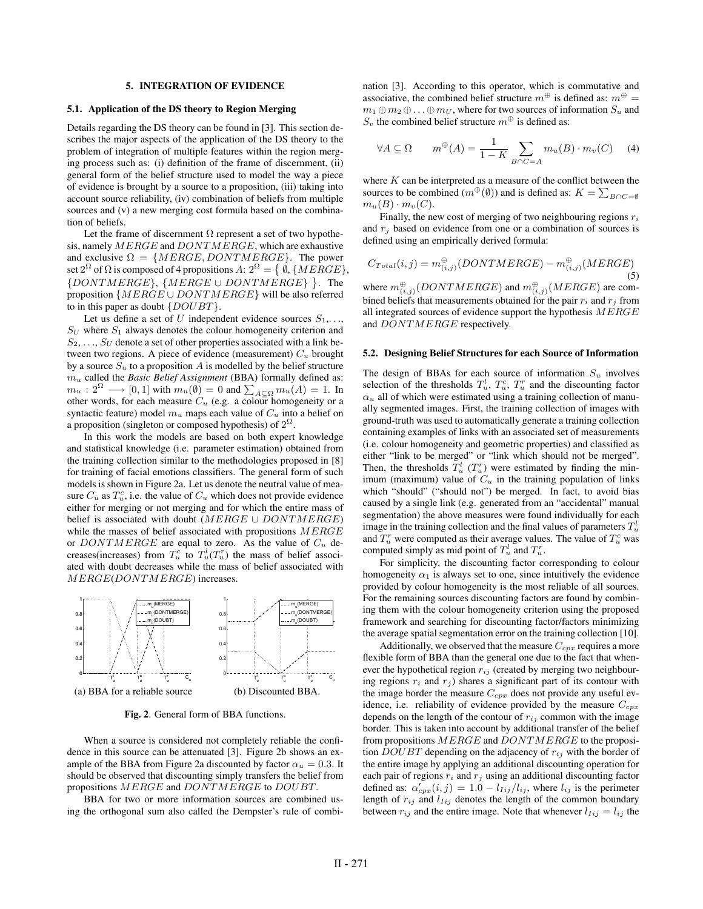### 5. INTEGRATION OF EVIDENCE

# 5.1. Application of the DS theory to Region Merging

Details regarding the DS theory can be found in [3]. This section describes the major aspects of the application of the DS theory to the problem of integration of multiple features within the region merging process such as: (i) definition of the frame of discernment, (ii) general form of the belief structure used to model the way a piece of evidence is brought by a source to a proposition, (iii) taking into account source reliability, (iv) combination of beliefs from multiple sources and (v) a new merging cost formula based on the combination of beliefs.

Let the frame of discernment  $\Omega$  represent a set of two hypothesis, namely MERGE and DONTMERGE, which are exhaustive and exclusive  $\Omega = \{MERGE, DONTIMERGE\}$ . The power set  $2^{\Omega}$  of  $\Omega$  is composed of 4 propositions  $A: 2^{\Omega} = \{ \emptyset, \{MERCE\},\}$  ${DONTMERGE}, {MERGE \cup DONTMERGE}$  }. The proposition {MERGE ∪ DONTMERGE} will be also referred to in this paper as doubt  $\{DOUBT\}$ .

Let us define a set of U independent evidence sources  $S_1, \ldots$ ,  $S_U$  where  $S_1$  always denotes the colour homogeneity criterion and  $S_2, \ldots, S_U$  denote a set of other properties associated with a link between two regions. A piece of evidence (measurement)  $C<sub>u</sub>$  brought by a source  $S_u$  to a proposition A is modelled by the belief structure m<sup>u</sup> called the *Basic Belief Assignment* (BBA) formally defined as:  $m_u : 2^{\Omega} \longrightarrow [0,1]$  with  $m_u(\emptyset) = 0$  and  $\sum_{A \subseteq \Omega} m_u(A) = 1$ . In other words, for each measure  $C_u$  (e.g. a colour homogeneity or a syntactic feature) model  $m_u$  maps each value of  $C_u$  into a belief on a proposition (singleton or composed hypothesis) of  $2^{\Omega}$ .

In this work the models are based on both expert knowledge and statistical knowledge (i.e. parameter estimation) obtained from the training collection similar to the methodologies proposed in [8] for training of facial emotions classifiers. The general form of such models is shown in Figure 2a. Let us denote the neutral value of measure  $C_u$  as  $T_u^c$ , i.e. the value of  $C_u$  which does not provide evidence either for merging or not merging and for which the entire mass of belief is associated with doubt ( $MERGE \cup DONTMERGE$ ) while the masses of belief associated with propositions  $MERGE$ or  $DONTMERGE$  are equal to zero. As the value of  $C_u$  decreases(increases) from  $T_u^c$  to  $T_u^l(T_u^r)$  the mass of belief associated with doubt decreases while the mass of belief associated with MERGE(DONTMERGE) increases.



Fig. 2. General form of BBA functions.

When a source is considered not completely reliable the confidence in this source can be attenuated [3]. Figure 2b shows an example of the BBA from Figure 2a discounted by factor  $\alpha_u = 0.3$ . It should be observed that discounting simply transfers the belief from propositions MERGE and DONTMERGE to DOUBT.

BBA for two or more information sources are combined using the orthogonal sum also called the Dempster's rule of combination [3]. According to this operator, which is commutative and associative, the combined belief structure  $m^{\oplus}$  is defined as:  $m^{\oplus}$  =  $m_1 \oplus m_2 \oplus \ldots \oplus m_U$ , where for two sources of information  $S_u$  and  $S_v$  the combined belief structure  $m^{\oplus}$  is defined as:

$$
\forall A \subseteq \Omega \qquad m^{\oplus}(A) = \frac{1}{1 - K} \sum_{B \cap C = A} m_u(B) \cdot m_v(C) \tag{4}
$$

where  $K$  can be interpreted as a measure of the conflict between the sources to be combined  $(m^{\oplus}(\emptyset))$  and is defined as:  $K = \sum_{B \cap C = \emptyset}$  $m_u(B) \cdot m_v(C)$ .

Finally, the new cost of merging of two neighbouring regions  $r_i$ and  $r_i$  based on evidence from one or a combination of sources is defined using an empirically derived formula:

$$
C_{Total}(i,j) = m_{(i,j)}^{\oplus}(DONTMERGE) - m_{(i,j)}^{\oplus}(MERGE)
$$
\n(5)

where  $m^{\oplus}_{(i,j)}(DONTMERGE)$  and  $m^{\oplus}_{(i,j)}(MERGE)$  are combined beliefs that measurements obtained for the pair  $r_i$  and  $r_j$  from all integrated sources of evidence support the hypothesis  $MERGE$ and DONTMERGE respectively.

#### 5.2. Designing Belief Structures for each Source of Information

The design of BBAs for each source of information  $S_u$  involves selection of the thresholds  $T_u^l$ ,  $T_u^c$ ,  $T_u^r$  and the discounting factor  $\alpha_u$  all of which were estimated using a training collection of manually segmented images. First, the training collection of images with ground-truth was used to automatically generate a training collection containing examples of links with an associated set of measurements (i.e. colour homogeneity and geometric properties) and classified as either "link to be merged" or "link which should not be merged". Then, the thresholds  $T_u^l$  ( $T_u^r$ ) were estimated by finding the minimum (maximum) value of  $C_u$  in the training population of links which "should" ("should not") be merged. In fact, to avoid bias caused by a single link (e.g. generated from an "accidental" manual segmentation) the above measures were found individually for each image in the training collection and the final values of parameters  $T_u^l$ and  $T_u^r$  were computed as their average values. The value of  $T_u^c$  was computed simply as mid point of  $T_u^l$  and  $T_u^r$ .

For simplicity, the discounting factor corresponding to colour homogeneity  $\alpha_1$  is always set to one, since intuitively the evidence provided by colour homogeneity is the most reliable of all sources. For the remaining sources discounting factors are found by combining them with the colour homogeneity criterion using the proposed framework and searching for discounting factor/factors minimizing the average spatial segmentation error on the training collection [10].

Additionally, we observed that the measure  $C_{cpx}$  requires a more flexible form of BBA than the general one due to the fact that whenever the hypothetical region  $r_{ij}$  (created by merging two neighbouring regions  $r_i$  and  $r_j$ ) shares a significant part of its contour with the image border the measure  $C_{cpx}$  does not provide any useful evidence, i.e. reliability of evidence provided by the measure  $C_{cpx}$ depends on the length of the contour of  $r_{ij}$  common with the image border. This is taken into account by additional transfer of the belief from propositions  $MERGE$  and  $DOMTMERGE$  to the proposition  $DOUTBT$  depending on the adjacency of  $r_{ij}$  with the border of the entire image by applying an additional discounting operation for each pair of regions  $r_i$  and  $r_j$  using an additional discounting factor defined as:  $\alpha'_{cpx}(i, j) = 1.0 - \frac{I_{Iij}}{l_{ij}}$ , where  $l_{ij}$  is the perimeter length of  $r_{ij}$  and  $l_{Iij}$  denotes the length of the common boundary between  $r_{ij}$  and the entire image. Note that whenever  $l_{Iij} = l_{ij}$  the